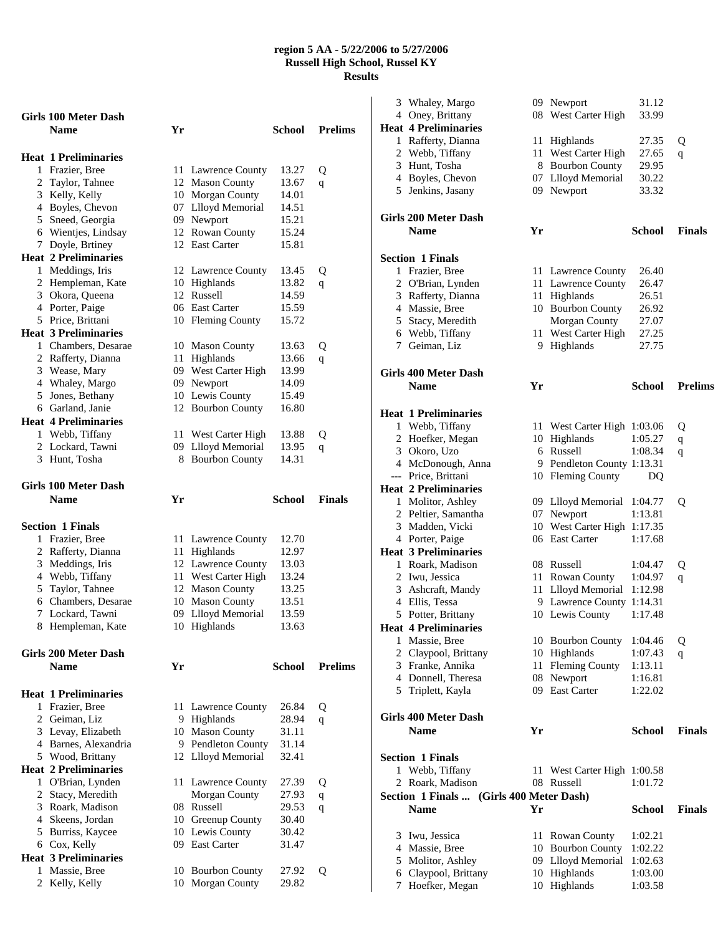|   | <b>Girls 100 Meter Dash</b>                  |    |                                       |                |                |
|---|----------------------------------------------|----|---------------------------------------|----------------|----------------|
|   | <b>Name</b>                                  | Yr |                                       | School         | <b>Prelims</b> |
|   |                                              |    |                                       |                |                |
| 1 | <b>Heat 1 Preliminaries</b><br>Frazier, Bree |    | 11 Lawrence County                    | 13.27          | Q              |
|   | 2 Taylor, Tahnee                             |    | 12 Mason County                       | 13.67          | q              |
|   | 3 Kelly, Kelly                               |    | 10 Morgan County                      | 14.01          |                |
|   | 4 Boyles, Chevon                             |    | 07 Llloyd Memorial                    | 14.51          |                |
|   | 5 Sneed, Georgia                             |    | 09 Newport                            | 15.21          |                |
|   | 6 Wientjes, Lindsay                          |    | 12 Rowan County                       | 15.24          |                |
|   | 7 Doyle, Brtiney                             |    | 12 East Carter                        | 15.81          |                |
|   | <b>Heat 2 Preliminaries</b>                  |    |                                       |                |                |
|   | 1 Meddings, Iris                             | 12 | Lawrence County                       | 13.45          | Q              |
|   | 2 Hempleman, Kate                            |    | 10 Highlands                          | 13.82          | q              |
|   | 3 Okora, Queena                              |    | 12 Russell                            | 14.59          |                |
|   | 4 Porter, Paige                              |    | 06 East Carter                        | 15.59          |                |
|   | 5 Price, Brittani                            |    | 10 Fleming County                     | 15.72          |                |
|   | <b>Heat 3 Preliminaries</b>                  |    |                                       |                |                |
|   | 1 Chambers, Desarae                          |    | 10 Mason County                       | 13.63          | Q              |
|   | 2 Rafferty, Dianna                           | 11 | Highlands                             | 13.66          | q              |
|   | 3 Wease, Mary                                |    | 09 West Carter High                   | 13.99          |                |
|   | 4 Whaley, Margo                              | 09 | Newport                               | 14.09          |                |
|   | 5 Jones, Bethany                             |    | 10 Lewis County                       | 15.49          |                |
|   | 6 Garland, Janie                             |    | 12 Bourbon County                     | 16.80          |                |
|   | <b>Heat 4 Preliminaries</b>                  |    |                                       |                |                |
|   | 1 Webb, Tiffany                              | 11 | West Carter High                      | 13.88          | Q              |
|   | 2 Lockard, Tawni                             | 09 | Llloyd Memorial                       | 13.95          | q              |
|   | 3 Hunt, Tosha                                | 8  | <b>Bourbon County</b>                 | 14.31          |                |
|   | Girls 100 Meter Dash                         |    |                                       |                |                |
|   | <b>Name</b>                                  | Yr |                                       | School         | <b>Finals</b>  |
|   |                                              |    |                                       |                |                |
|   |                                              |    |                                       |                |                |
|   |                                              |    |                                       |                |                |
|   | <b>Section 1 Finals</b>                      |    |                                       |                |                |
|   | 1 Frazier, Bree                              |    | 11 Lawrence County                    | 12.70          |                |
|   | 2 Rafferty, Dianna                           |    | 11 Highlands                          | 12.97<br>13.03 |                |
|   | 3 Meddings, Iris                             |    | 12 Lawrence County                    | 13.24          |                |
|   | 4 Webb, Tiffany                              |    | 11 West Carter High                   | 13.25          |                |
|   | 5 Taylor, Tahnee<br>6 Chambers, Desarae      |    | 12 Mason County                       | 13.51          |                |
|   | 7 Lockard, Tawni                             |    | 10 Mason County                       | 13.59          |                |
| 8 | Hempleman, Kate                              | 10 | 09 Llloyd Memorial<br>Highlands       | 13.63          |                |
|   |                                              |    |                                       |                |                |
|   | <b>Girls 200 Meter Dash</b>                  |    |                                       |                |                |
|   | <b>Name</b>                                  | Yr |                                       | School         | <b>Prelims</b> |
|   |                                              |    |                                       |                |                |
|   | <b>Heat 1 Preliminaries</b>                  |    |                                       |                |                |
|   | 1 Frazier, Bree                              |    | 11 Lawrence County                    | 26.84          | Q              |
|   | 2 Geiman, Liz                                |    | 9 Highlands                           | 28.94          | q              |
|   | 3 Levay, Elizabeth                           |    | 10 Mason County                       | 31.11          |                |
|   | 4 Barnes, Alexandria                         |    | 9 Pendleton County                    | 31.14          |                |
|   | 5 Wood, Brittany                             |    | 12 Llloyd Memorial                    | 32.41          |                |
|   | <b>Heat 2 Preliminaries</b>                  |    |                                       |                |                |
|   | 1 O'Brian, Lynden                            | 11 | <b>Lawrence County</b>                | 27.39          | Q              |
|   | 2 Stacy, Meredith                            |    | Morgan County                         | 27.93          | q              |
|   | 3 Roark, Madison                             |    | 08 Russell                            | 29.53          | q              |
|   | 4 Skeens, Jordan                             |    | 10 Greenup County                     | 30.40          |                |
|   | 5 Burriss, Kaycee                            |    | 10 Lewis County                       | 30.42          |                |
|   | 6 Cox, Kelly                                 |    | 09 East Carter                        | 31.47          |                |
| 1 | <b>Heat 3 Preliminaries</b><br>Massie, Bree  |    |                                       |                |                |
| 2 | Kelly, Kelly                                 |    | 10 Bourbon County<br>10 Morgan County | 27.92<br>29.82 | Q              |

| 3 | Whaley, Margo                            |    | 09 Newport                  | 31.12         |                |
|---|------------------------------------------|----|-----------------------------|---------------|----------------|
|   | 4 Oney, Brittany                         |    | 08 West Carter High         | 33.99         |                |
|   | <b>Heat 4 Preliminaries</b>              |    |                             |               |                |
|   | 1 Rafferty, Dianna                       |    | 11 Highlands                | 27.35         | Q              |
|   | 2 Webb, Tiffany                          |    | 11 West Carter High         | 27.65         | q              |
|   | 3 Hunt, Tosha                            |    | 8 Bourbon County            | 29.95         |                |
|   | 4 Boyles, Chevon                         |    | 07 Llloyd Memorial          | 30.22         |                |
|   | 5 Jenkins, Jasany                        |    | 09 Newport                  | 33.32         |                |
|   | Girls 200 Meter Dash                     |    |                             |               |                |
|   | <b>Name</b>                              | Yr |                             | <b>School</b> | <b>Finals</b>  |
|   | <b>Section 1 Finals</b>                  |    |                             |               |                |
|   | 1 Frazier, Bree                          |    | 11 Lawrence County          | 26.40         |                |
|   | 2 O'Brian, Lynden                        |    | 11 Lawrence County          | 26.47         |                |
|   | 3 Rafferty, Dianna                       |    | 11 Highlands                | 26.51         |                |
|   | 4 Massie, Bree                           |    | 10 Bourbon County           | 26.92         |                |
|   | 5 Stacy, Meredith                        |    | Morgan County               | 27.07         |                |
|   | 6 Webb, Tiffany                          |    | 11 West Carter High         | 27.25         |                |
|   | 7 Geiman, Liz                            |    | 9 Highlands                 | 27.75         |                |
|   | <b>Girls 400 Meter Dash</b>              |    |                             |               |                |
|   | <b>Name</b>                              | Yr |                             | <b>School</b> | <b>Prelims</b> |
|   | <b>Heat 1 Preliminaries</b>              |    |                             |               |                |
|   | 1 Webb, Tiffany                          |    | 11 West Carter High 1:03.06 |               | Q              |
|   | 2 Hoefker, Megan                         |    | 10 Highlands                | 1:05.27       | $\mathbf q$    |
|   | 3 Okoro, Uzo                             |    | 6 Russell                   | 1:08.34       | q              |
|   | 4 McDonough, Anna                        |    | 9 Pendleton County 1:13.31  |               |                |
|   | --- Price, Brittani                      |    | 10 Fleming County           | DQ            |                |
|   | <b>Heat 2 Preliminaries</b>              |    |                             |               |                |
|   | 1 Molitor, Ashley                        |    | 09 Llloyd Memorial          | 1:04.77       | Q              |
|   | 2 Peltier, Samantha                      |    | 07 Newport                  | 1:13.81       |                |
|   | 3 Madden, Vicki                          |    | 10 West Carter High 1:17.35 |               |                |
|   | 4 Porter, Paige                          |    | 06 East Carter              | 1:17.68       |                |
|   | <b>Heat 3 Preliminaries</b>              |    |                             |               |                |
|   | 1 Roark, Madison                         |    | 08 Russell                  | 1:04.47       | Q              |
|   | 2 Iwu, Jessica                           |    | 11 Rowan County             | 1:04.97       | $\mathbf q$    |
|   | 3 Ashcraft, Mandy                        |    | 11 Llloyd Memorial          | 1:12.98       |                |
|   | 4 Ellis, Tessa                           |    | 9 Lawrence County 1:14.31   |               |                |
|   | 5 Potter, Brittany                       |    | 10 Lewis County             | 1:17.48       |                |
|   | <b>Heat 4 Preliminaries</b>              |    |                             |               |                |
|   | 1 Massie, Bree                           |    | 10 Bourbon County           | 1:04.46       | Q              |
|   | 2 Claypool, Brittany                     |    | 10 Highlands                | 1:07.43       | q              |
|   | 3 Franke, Annika                         |    | 11 Fleming County           | 1:13.11       |                |
|   | 4 Donnell, Theresa                       |    | 08 Newport                  | 1:16.81       |                |
|   | 5 Triplett, Kayla                        |    | 09 East Carter              | 1:22.02       |                |
|   | <b>Girls 400 Meter Dash</b>              |    |                             |               |                |
|   | <b>Name</b>                              | Yr |                             | <b>School</b> | <b>Finals</b>  |
|   | <b>Section 1 Finals</b>                  |    |                             |               |                |
|   | 1 Webb, Tiffany                          |    | 11 West Carter High 1:00.58 |               |                |
| 2 | Roark, Madison                           |    | 08 Russell                  | 1:01.72       |                |
|   | Section 1 Finals  (Girls 400 Meter Dash) |    |                             |               |                |
|   | <b>Name</b>                              | Yr |                             | <b>School</b> | <b>Finals</b>  |
| 3 | Iwu, Jessica                             |    | 11 Rowan County             | 1:02.21       |                |
|   | 4 Massie, Bree                           |    | 10 Bourbon County           | 1:02.22       |                |
|   | 5 Molitor, Ashley                        |    | 09 Llloyd Memorial          | 1:02.63       |                |
| 6 | Claypool, Brittany                       |    | 10 Highlands                | 1:03.00       |                |
| 7 | Hoefker, Megan                           |    | 10 Highlands                | 1:03.58       |                |
|   |                                          |    |                             |               |                |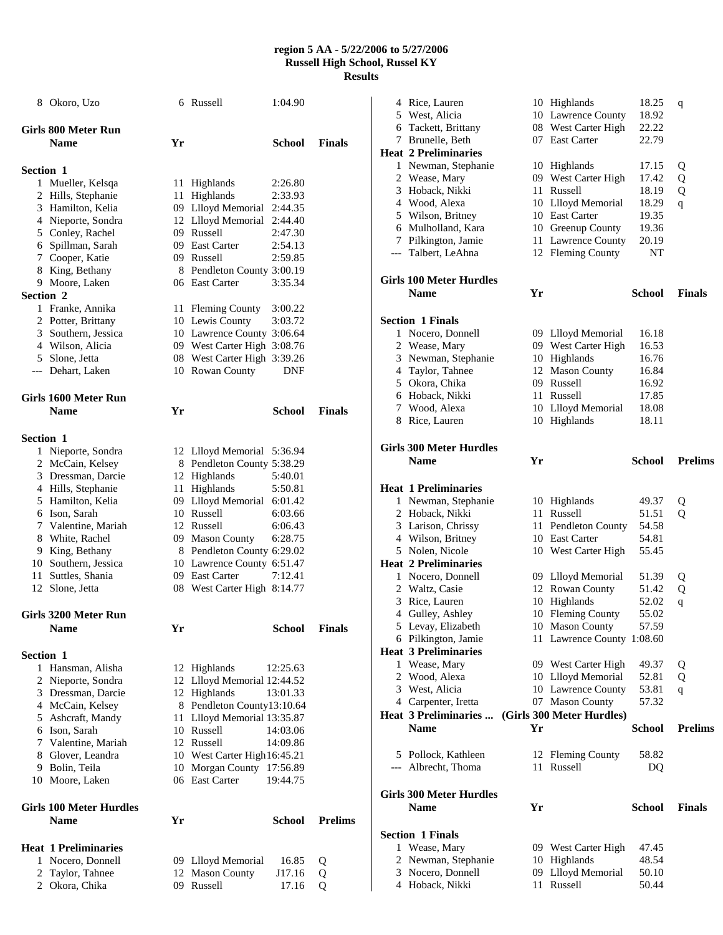|           | 8 Okoro, Uzo                            |     | 6 Russell                                     | 1:04.90       |                |
|-----------|-----------------------------------------|-----|-----------------------------------------------|---------------|----------------|
|           | Girls 800 Meter Run                     |     |                                               |               |                |
|           | <b>Name</b>                             | Yr  |                                               | School        | <b>Finals</b>  |
| Section 1 |                                         |     |                                               |               |                |
|           | 1 Mueller, Kelsqa                       |     | 11 Highlands                                  | 2:26.80       |                |
|           | 2 Hills, Stephanie                      |     | 11 Highlands                                  | 2:33.93       |                |
|           | 3 Hamilton, Kelia                       |     | 09 Llloyd Memorial                            | 2:44.35       |                |
|           | 4 Nieporte, Sondra                      |     | 12 Llloyd Memorial                            | 2:44.40       |                |
|           | 5 Conley, Rachel                        |     | 09 Russell                                    | 2:47.30       |                |
|           | 6 Spillman, Sarah                       |     | 09 East Carter                                | 2:54.13       |                |
|           | 7 Cooper, Katie                         |     | 09 Russell                                    | 2:59.85       |                |
|           | 8 King, Bethany                         |     | 8 Pendleton County 3:00.19                    |               |                |
|           | 9 Moore, Laken                          |     | 06 East Carter                                | 3:35.34       |                |
| Section 2 |                                         |     |                                               |               |                |
|           | 1 Franke, Annika                        |     | 11 Fleming County                             | 3:00.22       |                |
|           | 2 Potter, Brittany                      |     | 10 Lewis County                               | 3:03.72       |                |
|           | 3 Southern, Jessica                     |     | 10 Lawrence County 3:06.64                    |               |                |
|           | 4 Wilson, Alicia                        |     | 09 West Carter High 3:08.76                   |               |                |
|           | 5 Slone, Jetta                          |     | 08 West Carter High 3:39.26                   |               |                |
|           | --- Dehart, Laken                       |     | 10 Rowan County                               | <b>DNF</b>    |                |
|           | Girls 1600 Meter Run                    |     |                                               |               |                |
|           | <b>Name</b>                             | Yr  |                                               | School        | <b>Finals</b>  |
|           |                                         |     |                                               |               |                |
| Section 1 |                                         |     |                                               |               |                |
|           | 1 Nieporte, Sondra                      |     | 12 Llloyd Memorial                            | 5:36.94       |                |
|           | 2 McCain, Kelsey<br>3 Dressman, Darcie  |     | 8 Pendleton County 5:38.29                    |               |                |
|           |                                         |     | 12 Highlands                                  | 5:40.01       |                |
|           | 4 Hills, Stephanie<br>5 Hamilton, Kelia |     | 11 Highlands<br>09 Llloyd Memorial 6:01.42    | 5:50.81       |                |
|           | 6 Ison, Sarah                           |     | 10 Russell                                    | 6:03.66       |                |
|           | 7 Valentine, Mariah                     |     | 12 Russell                                    | 6:06.43       |                |
|           |                                         |     |                                               | 6:28.75       |                |
|           | 8 White, Rachel<br>9 King, Bethany      |     | 09 Mason County<br>8 Pendleton County 6:29.02 |               |                |
|           | 10 Southern, Jessica                    |     | 10 Lawrence County 6:51.47                    |               |                |
|           | 11 Suttles, Shania                      |     | 09 East Carter                                | 7:12.41       |                |
|           | 12 Slone, Jetta                         |     | 08 West Carter High 8:14.77                   |               |                |
|           |                                         |     |                                               |               |                |
|           | Girls 3200 Meter Run                    |     |                                               |               |                |
|           | <b>Name</b>                             | Yr  |                                               | <b>School</b> | <b>Finals</b>  |
| Section 1 |                                         |     |                                               |               |                |
|           | 1 Hansman, Alisha                       |     | 12 Highlands                                  | 12:25.63      |                |
|           | 2 Nieporte, Sondra                      |     | 12 Llloyd Memorial 12:44.52                   |               |                |
|           | 3 Dressman, Darcie                      |     | 12 Highlands                                  | 13:01.33      |                |
|           | 4 McCain, Kelsey                        |     | 8 Pendleton County13:10.64                    |               |                |
|           | 5 Ashcraft, Mandy                       | 11  | Llloyd Memorial 13:35.87                      |               |                |
|           | 6 Ison, Sarah                           |     | 10 Russell                                    | 14:03.06      |                |
|           | 7 Valentine, Mariah                     |     | 12 Russell                                    | 14:09.86      |                |
|           | 8 Glover, Leandra                       |     | 10 West Carter High 16:45.21                  |               |                |
|           | 9 Bolin, Teila                          | 10  | Morgan County 17:56.89                        |               |                |
|           | 10 Moore, Laken                         |     | 06 East Carter                                | 19:44.75      |                |
|           | <b>Girls 100 Meter Hurdles</b>          |     |                                               |               |                |
|           | <b>Name</b>                             | Yr  |                                               | <b>School</b> | <b>Prelims</b> |
|           | <b>Heat 1 Preliminaries</b>             |     |                                               |               |                |
|           | 1 Nocero, Donnell                       |     | 09 Llloyd Memorial                            | 16.85         | Q              |
| 2         | Taylor, Tahnee                          | 12  | <b>Mason County</b>                           | J17.16        | Q              |
| 2         | Okora, Chika                            | 09- | Russell                                       | 17.16         | 0              |

|   | 4 Rice, Lauren                                |    | 10 Highlands               | 18.25         | q              |
|---|-----------------------------------------------|----|----------------------------|---------------|----------------|
|   | 5 West, Alicia                                |    | 10 Lawrence County         | 18.92         |                |
|   | 6 Tackett, Brittany                           |    | 08 West Carter High        | 22.22         |                |
|   | 7 Brunelle, Beth                              |    | 07 East Carter             | 22.79         |                |
|   | <b>Heat 2 Preliminaries</b>                   |    |                            |               |                |
|   | 1 Newman, Stephanie                           |    | 10 Highlands               | 17.15         | Q              |
|   | 2 Wease, Mary                                 |    | 09 West Carter High        | 17.42         | Q              |
|   | 3 Hoback, Nikki                               |    | 11 Russell                 | 18.19         | Q              |
|   | 4 Wood, Alexa                                 |    | 10 Llloyd Memorial         | 18.29         |                |
|   |                                               |    | 10 East Carter             | 19.35         | $\overline{q}$ |
|   | 5 Wilson, Britney<br>6 Mulholland, Kara       |    |                            | 19.36         |                |
|   |                                               |    | 10 Greenup County          |               |                |
|   | 7 Pilkington, Jamie                           |    | 11 Lawrence County         | 20.19         |                |
|   | --- Talbert, LeAhna                           |    | 12 Fleming County          | NT            |                |
|   | <b>Girls 100 Meter Hurdles</b>                |    |                            |               |                |
|   | <b>Name</b>                                   | Yr |                            | <b>School</b> | <b>Finals</b>  |
|   |                                               |    |                            |               |                |
|   | <b>Section 1 Finals</b>                       |    |                            |               |                |
|   | 1 Nocero, Donnell                             |    | 09 Llloyd Memorial         | 16.18         |                |
|   | 2 Wease, Mary                                 |    | 09 West Carter High        | 16.53         |                |
| 3 | Newman, Stephanie                             |    | 10 Highlands               | 16.76         |                |
|   | 4 Taylor, Tahnee                              |    | 12 Mason County            | 16.84         |                |
|   | 5 Okora, Chika                                |    | 09 Russell                 | 16.92         |                |
|   | 6 Hoback, Nikki                               |    | 11 Russell                 | 17.85         |                |
|   | 7 Wood, Alexa                                 |    | 10 Llloyd Memorial         | 18.08         |                |
|   |                                               |    | 10 Highlands               |               |                |
|   | 8 Rice, Lauren                                |    |                            | 18.11         |                |
|   | <b>Girls 300 Meter Hurdles</b>                |    |                            |               |                |
|   | <b>Name</b>                                   | Yr |                            | <b>School</b> | <b>Prelims</b> |
|   |                                               |    |                            |               |                |
|   | <b>Heat 1 Preliminaries</b>                   |    |                            |               |                |
|   | 1 Newman, Stephanie                           |    | 10 Highlands               | 49.37         | Q              |
|   | 2 Hoback, Nikki                               |    | 11 Russell                 | 51.51         | Q              |
|   | 3 Larison, Chrissy                            |    | 11 Pendleton County        | 54.58         |                |
|   | 4 Wilson, Britney                             |    | 10 East Carter             | 54.81         |                |
|   | 5 Nolen, Nicole                               |    | 10 West Carter High        | 55.45         |                |
|   | <b>Heat 2 Preliminaries</b>                   |    |                            |               |                |
|   | 1 Nocero, Donnell                             |    | 09 Llloyd Memorial         | 51.39         |                |
|   | 2 Waltz, Casie                                |    | 12 Rowan County            | 51.42         | Q              |
|   | 3 Rice, Lauren                                |    | 10 Highlands               |               | Q              |
|   |                                               |    |                            | 52.02         | $\mathsf{q}$   |
|   | 4 Gulley, Ashley                              |    | 10 Fleming County          | 55.02         |                |
|   | 5 Levay, Elizabeth                            |    | 10 Mason County            | 57.59         |                |
|   | 6 Pilkington, Jamie                           |    | 11 Lawrence County 1:08.60 |               |                |
|   | <b>Heat 3 Preliminaries</b>                   |    |                            |               |                |
|   |                                               |    |                            |               |                |
|   | 1 Wease, Mary                                 |    | 09 West Carter High        | 49.37         | Q              |
| 2 | Wood, Alexa                                   |    | 10 Llloyd Memorial         | 52.81         | Q              |
|   | 3 West, Alicia                                |    | 10 Lawrence County         | 53.81         | q              |
|   | 4 Carpenter, Iretta                           |    | 07 Mason County            | 57.32         |                |
|   | Heat 3 Preliminaries                          |    | (Girls 300 Meter Hurdles)  |               |                |
|   | <b>Name</b>                                   | Yr |                            | <b>School</b> | <b>Prelims</b> |
|   |                                               |    |                            |               |                |
|   | 5 Pollock, Kathleen                           |    | 12 Fleming County          | 58.82         |                |
|   | --- Albrecht, Thoma                           |    | 11 Russell                 | DQ            |                |
|   |                                               |    |                            |               |                |
|   | <b>Girls 300 Meter Hurdles</b><br><b>Name</b> | Yr |                            |               | <b>Finals</b>  |
|   |                                               |    |                            | <b>School</b> |                |
|   | <b>Section 1 Finals</b>                       |    |                            |               |                |
|   | 1 Wease, Mary                                 |    | 09 West Carter High        | 47.45         |                |
| 2 | Newman, Stephanie                             |    | 10 Highlands               | 48.54         |                |
| 3 | Nocero, Donnell                               |    | 09 Llloyd Memorial         | 50.10         |                |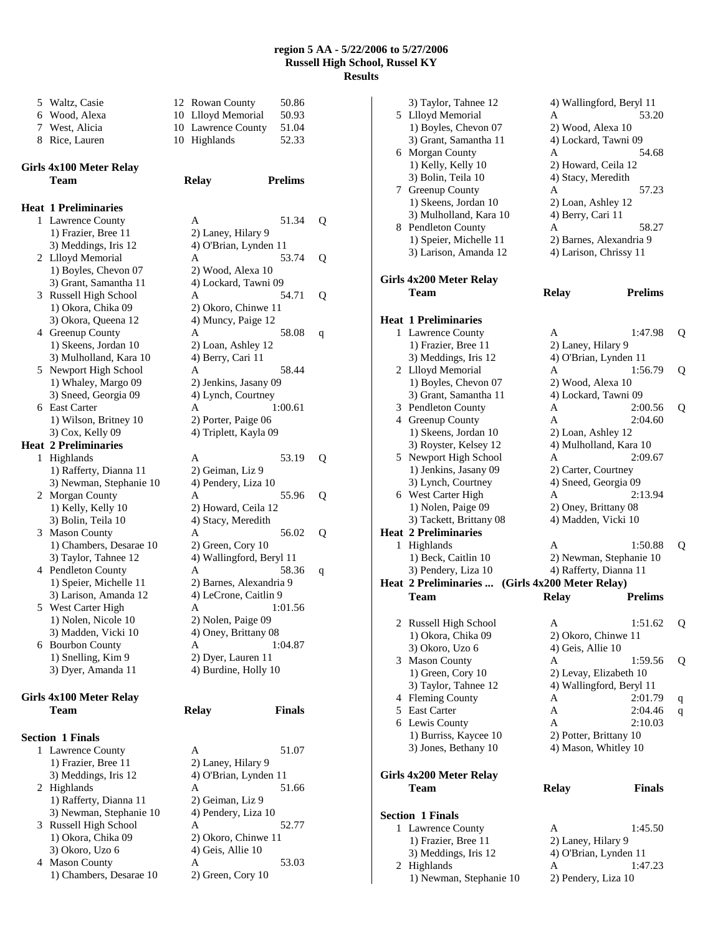| 5 Waltz, Casie | 12 Rowan County    | 50.86 |
|----------------|--------------------|-------|
| 6 Wood, Alexa  | 10 Llloyd Memorial | 50.93 |
| 7 West, Alicia | 10 Lawrence County | 51.04 |
| 8 Rice, Lauren | 10 Highlands       | 52.33 |

# **Girls 4x100 Meter Relay Team Relay Prelims**

|   | <b>Heat 1 Preliminaries</b> |                          |   |
|---|-----------------------------|--------------------------|---|
| 1 | <b>Lawrence County</b>      | A<br>51.34               | Q |
|   | 1) Frazier, Bree 11         | 2) Laney, Hilary 9       |   |
|   | 3) Meddings, Iris 12        | 4) O'Brian, Lynden 11    |   |
|   | 2 Llloyd Memorial           | A<br>53.74               | Q |
|   | 1) Boyles, Chevon 07        | 2) Wood, Alexa 10        |   |
|   | 3) Grant, Samantha 11       | 4) Lockard, Tawni 09     |   |
| 3 | Russell High School         | $\mathsf{A}$<br>54.71    | Q |
|   | 1) Okora, Chika 09          | 2) Okoro, Chinwe 11      |   |
|   | 3) Okora, Queena 12         | 4) Muncy, Paige 12       |   |
|   | 4 Greenup County            | A<br>58.08               | q |
|   | 1) Skeens, Jordan 10        | 2) Loan, Ashley 12       |   |
|   | 3) Mulholland, Kara 10      | 4) Berry, Cari 11        |   |
| 5 | Newport High School         | 58.44<br>A               |   |
|   | 1) Whaley, Margo 09         | 2) Jenkins, Jasany 09    |   |
|   | 3) Sneed, Georgia 09        | 4) Lynch, Courtney       |   |
| 6 | <b>East Carter</b>          | 1:00.61<br>A             |   |
|   | 1) Wilson, Britney 10       | 2) Porter, Paige 06      |   |
|   | 3) Cox, Kelly 09            | 4) Triplett, Kayla 09    |   |
|   | <b>Heat 2 Preliminaries</b> |                          |   |
| 1 | Highlands                   | 53.19<br>A               | Q |
|   | 1) Rafferty, Dianna 11      | 2) Geiman, Liz 9         |   |
|   | 3) Newman, Stephanie 10     | 4) Pendery, Liza 10      |   |
| 2 | Morgan County               | 55.96<br>A               | Q |
|   | 1) Kelly, Kelly 10          | 2) Howard, Ceila 12      |   |
|   | 3) Bolin, Teila 10          | 4) Stacy, Meredith       |   |
| 3 | <b>Mason County</b>         | A<br>56.02               | Q |
|   | 1) Chambers, Desarae 10     | 2) Green, Cory 10        |   |
|   | 3) Taylor, Tahnee 12        | 4) Wallingford, Beryl 11 |   |
| 4 | Pendleton County            | A<br>58.36               | q |
|   | 1) Speier, Michelle 11      | 2) Barnes, Alexandria 9  |   |
|   | 3) Larison, Amanda 12       | 4) LeCrone, Caitlin 9    |   |
| 5 | West Carter High            | 1:01.56<br>A             |   |
|   | 1) Nolen, Nicole 10         | 2) Nolen, Paige 09       |   |
|   | 3) Madden, Vicki 10         | 4) Oney, Brittany 08     |   |
| 6 | <b>Bourbon County</b>       | 1:04.87<br>A             |   |
|   | 1) Snelling, Kim 9          | 2) Dyer, Lauren 11       |   |
|   | 3) Dyer, Amanda 11          | 4) Burdine, Holly 10     |   |
|   |                             |                          |   |

# **Girls 4x100 Meter Relay Team Relay Finals**

# **Section 1 Finals**

|   | 1 Lawrence County       |                       | 51.07 |
|---|-------------------------|-----------------------|-------|
|   | 1) Frazier, Bree 11     | 2) Laney, Hilary 9    |       |
|   | 3) Meddings, Iris 12    | 4) O'Brian, Lynden 11 |       |
|   | 2 Highlands             | А                     | 51.66 |
|   | 1) Rafferty, Dianna 11  | 2) Geiman, Liz 9      |       |
|   | 3) Newman, Stephanie 10 | 4) Pendery, Liza 10   |       |
|   | 3 Russell High School   | А                     | 52.77 |
|   | 1) Okora, Chika 09      | 2) Okoro, Chinwe 11   |       |
|   | 3) Okoro, Uzo 6         | 4) Geis, Allie 10     |       |
| 4 | <b>Mason County</b>     | А                     | 53.03 |
|   | 1) Chambers, Desarae 10 | 2) Green, Cory 10     |       |

| A                        | 51.34   | Q |
|--------------------------|---------|---|
| 2) Laney, Hilary 9       |         |   |
| 4) O'Brian, Lynden       | 11      |   |
| A                        | 53.74   | Q |
| 2) Wood, Alexa 10        |         |   |
| 4) Lockard, Tawni 09     |         |   |
| A                        | 54.71   | Q |
| 2) Okoro, Chinwe 11      |         |   |
| 4) Muncy, Paige 12       |         |   |
|                          |         |   |
| A                        | 58.08   | q |
| 2) Loan, Ashley 12       |         |   |
| 4) Berry, Cari 11        |         |   |
| A                        | 58.44   |   |
| 2) Jenkins, Jasany 09    |         |   |
| 4) Lynch, Courtney       |         |   |
| A                        | 1:00.61 |   |
| 2) Porter, Paige 06      |         |   |
| 4) Triplett, Kayla 09    |         |   |
|                          |         |   |
| A                        | 53.19   | Q |
| 2) Geiman, Liz 9         |         |   |
| 4) Pendery, Liza 10      |         |   |
| A                        | 55.96   | O |
|                          |         |   |
| 2) Howard, Ceila 12      |         |   |
| 4) Stacy, Meredith       |         |   |
| A                        | 56.02   | Q |
| 2) Green, Cory 10        |         |   |
| 4) Wallingford, Beryl 11 |         |   |
| A                        | 58.36   | q |
| 2) Barnes, Alexandria 9  |         |   |
| 4) LeCrone, Caitlin 9    |         |   |
| A                        | 1:01.56 |   |
| 2) Nolen, Paige 09       |         |   |
| 4) Oney, Brittany 08     |         |   |
| A                        | 1:04.87 |   |
| 2) Dyer, Lauren 11       |         |   |
| 4) Burdine, Holly 10     |         |   |
|                          |         |   |
|                          |         |   |
|                          | Finals  |   |
| elay                     |         |   |
|                          |         |   |
|                          |         |   |
| Α                        | 51.07   |   |
| 2) Laney, Hilary 9       |         |   |

| 3) Taylor, Tahnee 12        | 4) Wallingford, Beryl 11  |                |   |
|-----------------------------|---------------------------|----------------|---|
| 5 Llloyd Memorial           | A                         | 53.20          |   |
| 1) Boyles, Chevon 07        | 2) Wood, Alexa 10         |                |   |
|                             |                           |                |   |
| 3) Grant, Samantha 11       | 4) Lockard, Tawni 09      |                |   |
| 6 Morgan County             | A                         | 54.68          |   |
| 1) Kelly, Kelly 10          | 2) Howard, Ceila 12       |                |   |
| 3) Bolin, Teila 10          | 4) Stacy, Meredith        |                |   |
| 7 Greenup County            | A                         | 57.23          |   |
| 1) Skeens, Jordan 10        | 2) Loan, Ashley 12        |                |   |
| 3) Mulholland, Kara 10      | 4) Berry, Cari 11         |                |   |
| 8 Pendleton County          | A                         | 58.27          |   |
| 1) Speier, Michelle 11      | 2) Barnes, Alexandria 9   |                |   |
| 3) Larison, Amanda 12       | 4) Larison, Chrissy 11    |                |   |
|                             |                           |                |   |
| Girls 4x200 Meter Relay     |                           |                |   |
|                             |                           |                |   |
| <b>Team</b>                 | <b>Relay</b>              | <b>Prelims</b> |   |
|                             |                           |                |   |
| <b>Heat 1 Preliminaries</b> |                           |                |   |
| 1 Lawrence County           | A                         | 1:47.98        | Q |
| 1) Frazier, Bree 11         | 2) Laney, Hilary 9        |                |   |
| 3) Meddings, Iris 12        | 4) O'Brian, Lynden 11     |                |   |
| 2 Llloyd Memorial           | A                         | 1:56.79        | Q |
| 1) Boyles, Chevon 07        | 2) Wood, Alexa 10         |                |   |
| 3) Grant, Samantha 11       | 4) Lockard, Tawni 09      |                |   |
| 3 Pendleton County          | A                         | 2:00.56        | Q |
| 4 Greenup County            | A                         | 2:04.60        |   |
|                             |                           |                |   |
| 1) Skeens, Jordan 10        | 2) Loan, Ashley 12        |                |   |
| 3) Royster, Kelsey 12       | 4) Mulholland, Kara 10    |                |   |
| 5 Newport High School       | A                         | 2:09.67        |   |
| 1) Jenkins, Jasany 09       | 2) Carter, Courtney       |                |   |
| 3) Lynch, Courtney          | 4) Sneed, Georgia 09      |                |   |
| 6 West Carter High          | A                         | 2:13.94        |   |
| 1) Nolen, Paige 09          | 2) Oney, Brittany 08      |                |   |
| 3) Tackett, Brittany 08     | 4) Madden, Vicki 10       |                |   |
| <b>Heat 2 Preliminaries</b> |                           |                |   |
| 1 Highlands                 | А                         | 1:50.88        | Q |
| 1) Beck, Caitlin 10         | 2) Newman, Stephanie 10   |                |   |
| 3) Pendery, Liza 10         | 4) Rafferty, Dianna 11    |                |   |
| Heat 2 Preliminaries        | (Girls 4x200 Meter Relay) |                |   |
|                             |                           |                |   |
| <b>Team</b>                 | <b>Relay</b>              | <b>Prelims</b> |   |
|                             |                           |                |   |
| 2 Russell High School       | A                         | 1:51.62        | Q |
| 1) Okora, Chika 09          | 2) Okoro, Chinwe 11       |                |   |
| 3) Okoro, Uzo 6             | 4) Geis, Allie 10         |                |   |
| 3 Mason County              | А                         | 1:59.56        | Q |
| 1) Green, Cory 10           | 2) Levay, Elizabeth 10    |                |   |
| 3) Taylor, Tahnee 12        | 4) Wallingford, Beryl 11  |                |   |
| 4 Fleming County            | Α                         | 2:01.79        | q |
| 5 East Carter               | А                         | 2:04.46        | q |
| 6 Lewis County              | A                         | 2:10.03        |   |
| 1) Burriss, Kaycee 10       | 2) Potter, Brittany 10    |                |   |
| 3) Jones, Bethany 10        | 4) Mason, Whitley 10      |                |   |
|                             |                           |                |   |
|                             |                           |                |   |
| Girls 4x200 Meter Relay     |                           |                |   |
| <b>Team</b>                 | <b>Relay</b>              | <b>Finals</b>  |   |
|                             |                           |                |   |
| <b>Section 1 Finals</b>     |                           |                |   |
| 1 Lawrence County           | A                         | 1:45.50        |   |
| 1) Frazier, Bree 11         | 2) Laney, Hilary 9        |                |   |
| 3) Meddings, Iris 12        | 4) O'Brian, Lynden 11     |                |   |
| 2 Highlands                 | Α                         | 1:47.23        |   |

1) Newman, Stephanie 10 2) Pendery, Liza 10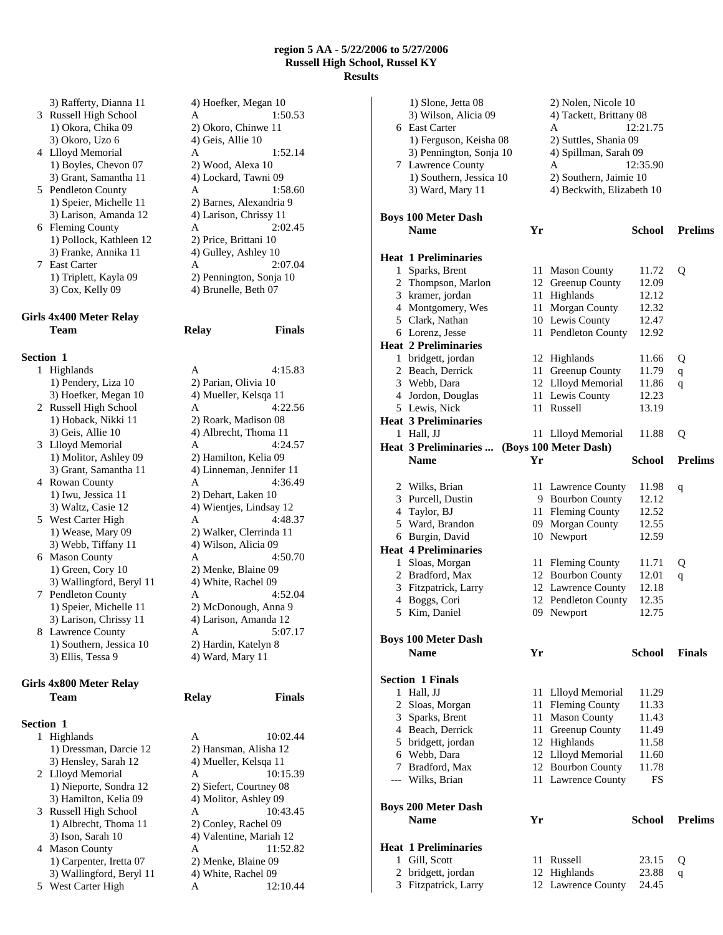3 Russell High School A 1:50.53 1) Okora, Chika 09 2) Okoro, Chinwe 11  $3)$  Okoro, Uzo 6  $4)$  Geis, Allie 10 4 Llloyd Memorial A 1:52.14 1) Boyles, Chevon 07 2) Wood, Alexa 10 3) Grant, Samantha 11 4) Lockard, Tawni 09 5 Pendleton County A 1:58.60 3) Larison, Amanda 12 4) Larison, Chrissy 11 6 Fleming County A 2:02.45 1) Pollock, Kathleen 12 2) Price, Brittani 10 3) Franke, Annika 11 4) Gulley, Ashley 10 7 East Carter A 2:07.04

# **Girls 4x400 Meter Relay Team Relay Finals**

#### **Section 1**

1 Highlands A 4:15.83 1) Pendery, Liza 10 2) Parian, Olivia 10 3) Hoefker, Megan 10 4) Mueller, Kelsqa 11 2 Russell High School A 4:22.56 1) Hoback, Nikki 11 2) Roark, Madison 08 3) Geis, Allie 10 4) Albrecht, Thoma 11 3 Llloyd Memorial A 4:24.57 1) Molitor, Ashley 09 2) Hamilton, Kelia 09 4 Rowan County A 4:36.49 1) Iwu, Jessica 11 2) Dehart, Laken 10 5 West Carter High A 4:48.37 3) Webb, Tiffany 11 4) Wilson, Alicia 09 6 Mason County A 4:50.70 1) Green, Cory 10 2) Menke, Blaine 09 3) Wallingford, Beryl 11 4) White, Rachel 09 7 Pendleton County A 4:52.04 8 Lawrence County A 1) Southern, Jessica 10 2) Hardin, Katelyn 8 3) Ellis, Tessa 9 4) Ward, Mary 11

## **Girls 4x800 Meter Relay Team Relay Finals**

# **Section 1**

3) Hensley, Sarah 12 4) Mueller, Kelsqa 11 3) Hamilton, Kelia 09 4) Molitor, Ashley 09 1) Albrecht, Thoma 11 2) Conley, Rachel 09<br>3) Ison, Sarah 10 4) Valentine, Mariah 1) Carpenter, Iretta 07 2) Menke, Blaine 09 3) Wallingford, Beryl 11 4) White, Rachel 09 5 West Carter High A 12:10.44

3) Rafferty, Dianna 11 4) Hoefker, Megan 10 1) Speier, Michelle 11 2) Barnes, Alexandria 9 1) Triplett, Kayla 09 2) Pennington, Sonja 10  $3)$  Cox, Kelly 09  $\hspace{1.6cm}$  4) Brunelle, Beth 07

3) Grant, Samantha 11 4) Linneman, Jennifer 11 3) Waltz, Casie 12 4) Wientjes, Lindsay 12 1) Wease, Mary 09 2) Walker, Clerrinda 11 1) Speier, Michelle 11 2) McDonough, Anna 9 3) Larison, Chrissy 11 4) Larison, Amanda 12<br>
Lawrence County A 5:07.17

1 Highlands A 10:02.44 1) Dressman, Darcie 12 2) Hansman, Alisha 12 2 Llloyd Memorial A 10:15.39 1) Nieporte, Sondra 12 2) Siefert, Courtney 08 3 Russell High School A 10:43.45 4) Valentine, Mariah 12 4 Mason County A 11:52.82

|   | 1) Slone, Jetta 08                             |    | 2) Nolen, Nicole 10                    |                |                |
|---|------------------------------------------------|----|----------------------------------------|----------------|----------------|
|   | 3) Wilson, Alicia 09                           |    | 4) Tackett, Brittany 08                |                |                |
|   | 6 East Carter                                  |    | A                                      | 12:21.75       |                |
|   | 1) Ferguson, Keisha 08                         |    | 2) Suttles, Shania 09                  |                |                |
|   | 3) Pennington, Sonja 10                        |    | 4) Spillman, Sarah 09                  |                |                |
|   | 7 Lawrence County                              |    | A                                      | 12:35.90       |                |
|   | 1) Southern, Jessica 10                        |    | 2) Southern, Jaimie 10                 |                |                |
|   | 3) Ward, Mary 11                               |    | 4) Beckwith, Elizabeth 10              |                |                |
|   | <b>Boys 100 Meter Dash</b>                     |    |                                        |                |                |
|   | <b>Name</b>                                    | Yr |                                        | <b>School</b>  | <b>Prelims</b> |
|   |                                                |    |                                        |                |                |
|   | <b>Heat 1 Preliminaries</b>                    |    |                                        |                |                |
|   | 1 Sparks, Brent                                |    | 11 Mason County                        | 11.72          | Q              |
|   | 2 Thompson, Marlon                             |    | 12 Greenup County                      | 12.09          |                |
|   | 3 kramer, jordan                               |    | 11 Highlands                           | 12.12<br>12.32 |                |
|   | 4 Montgomery, Wes<br>5 Clark, Nathan           |    | 11 Morgan County                       | 12.47          |                |
|   |                                                |    | 10 Lewis County<br>11 Pendleton County |                |                |
|   | 6 Lorenz, Jesse<br><b>Heat 2 Preliminaries</b> |    |                                        | 12.92          |                |
|   | 1 bridgett, jordan                             |    | 12 Highlands                           | 11.66          |                |
|   | 2 Beach, Derrick                               |    | 11 Greenup County                      | 11.79          | Q              |
|   | 3 Webb, Dara                                   |    | 12 Llloyd Memorial                     | 11.86          | $\mathbf q$    |
|   | 4 Jordon, Douglas                              |    | 11 Lewis County                        | 12.23          | q              |
|   | 5 Lewis, Nick                                  |    | 11 Russell                             | 13.19          |                |
|   | <b>Heat 3 Preliminaries</b>                    |    |                                        |                |                |
|   | 1 Hall, JJ                                     |    | 11 Llloyd Memorial                     | 11.88          | Q              |
|   | Heat 3 Preliminaries                           |    | (Boys 100 Meter Dash)                  |                |                |
|   | <b>Name</b>                                    | Yr |                                        | <b>School</b>  | <b>Prelims</b> |
|   |                                                |    |                                        |                |                |
|   | 2 Wilks, Brian                                 |    | 11 Lawrence County                     | 11.98          | q              |
| 3 | Purcell, Dustin                                |    | 9 Bourbon County                       | 12.12          |                |
| 4 | Taylor, BJ                                     |    | 11 Fleming County                      | 12.52          |                |
|   | 5 Ward, Brandon                                |    | 09 Morgan County                       | 12.55          |                |
|   | 6 Burgin, David                                |    | 10 Newport                             | 12.59          |                |
|   | <b>Heat 4 Preliminaries</b>                    |    |                                        |                |                |
|   | 1 Sloas, Morgan                                |    | 11 Fleming County                      | 11.71          | Q              |
|   | 2 Bradford, Max                                |    | 12 Bourbon County                      | 12.01          | q              |
|   | 3 Fitzpatrick, Larry                           |    | 12 Lawrence County                     | 12.18          |                |
| 4 | Boggs, Cori                                    |    | 12 Pendleton County                    | 12.35          |                |
| 5 | Kim, Daniel                                    |    | 09 Newport                             | 12.75          |                |
|   |                                                |    |                                        |                |                |
|   | Boys 100 Meter Dash<br><b>Name</b>             | Yr |                                        | School         | <b>Finals</b>  |
|   |                                                |    |                                        |                |                |
|   | <b>Section 1 Finals</b>                        |    |                                        |                |                |
| 1 | Hall, JJ                                       |    | 11 Llloyd Memorial                     | 11.29          |                |
| 2 | Sloas, Morgan                                  |    | 11 Fleming County                      | 11.33          |                |
| 3 | Sparks, Brent                                  |    | 11 Mason County                        | 11.43          |                |
|   | 4 Beach, Derrick                               | 11 | Greenup County                         | 11.49          |                |
|   | 5 bridgett, jordan                             |    | 12 Highlands                           | 11.58          |                |
|   | 6 Webb, Dara                                   |    | 12 Llloyd Memorial                     | 11.60          |                |
|   | 7 Bradford, Max                                |    | 12 Bourbon County                      | 11.78          |                |
|   | --- Wilks, Brian                               |    | 11 Lawrence County                     | FS             |                |
|   | Boys 200 Meter Dash                            |    |                                        |                |                |
|   | <b>Name</b>                                    | Yr |                                        | <b>School</b>  | <b>Prelims</b> |
|   |                                                |    |                                        |                |                |
|   | <b>Heat 1 Preliminaries</b>                    |    |                                        |                |                |
|   | 1 Gill, Scott                                  |    | 11 Russell                             | 23.15          | Q              |
|   | 2 bridgett, jordan                             |    | 12 Highlands                           | 23.88          | q              |
|   | 3 Fitzpatrick, Larry                           |    | 12 Lawrence County                     | 24.45          |                |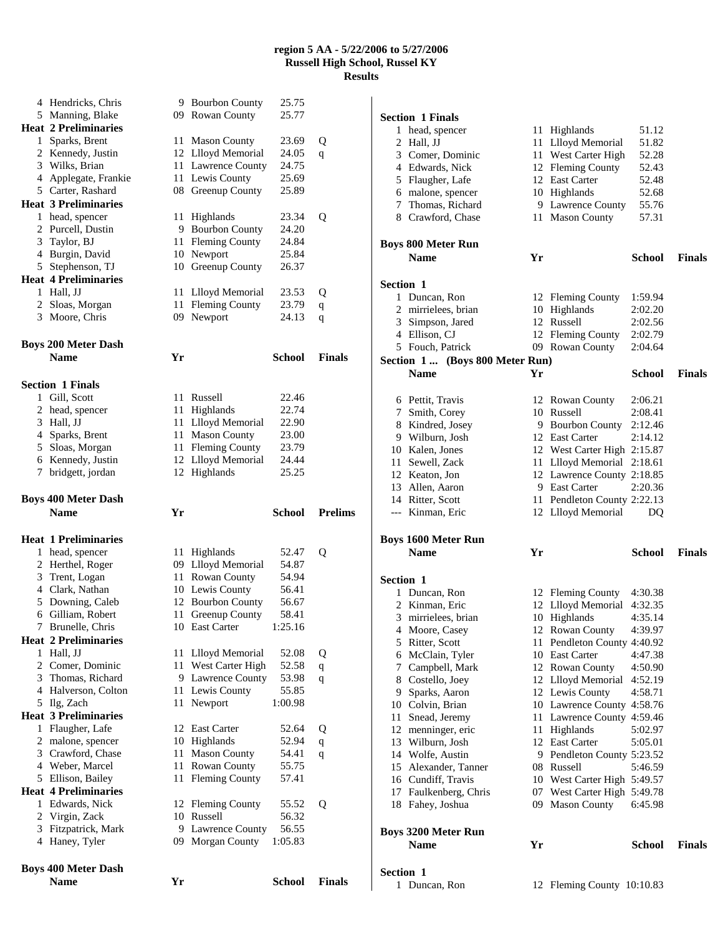|   | <b>Name</b>                       | Yr   |                                     | <b>School</b>  | <b>Finals</b>  |
|---|-----------------------------------|------|-------------------------------------|----------------|----------------|
|   | <b>Boys 400 Meter Dash</b>        |      |                                     |                |                |
|   |                                   |      |                                     |                |                |
|   | 4 Haney, Tyler                    |      | 09 Morgan County                    | 1:05.83        |                |
| 3 | Virgin, Zack<br>Fitzpatrick, Mark | 10   | 9 Lawrence County                   | 56.55          |                |
| 2 | 1 Edwards, Nick                   |      | 12 Fleming County<br>Russell        | 55.52<br>56.32 | Q              |
|   | <b>Heat 4 Preliminaries</b>       |      |                                     |                |                |
|   | 5 Ellison, Bailey                 | 11   | Fleming County                      | 57.41          |                |
|   | 4 Weber, Marcel                   | 11   | Rowan County                        | 55.75          |                |
|   | 3 Crawford, Chase                 | 11   | <b>Mason County</b>                 | 54.41          | q              |
|   | 2 malone, spencer                 |      | 10 Highlands                        | 52.94          | $\mathbf{q}$   |
| 1 | Flaugher, Lafe                    |      | 12 East Carter                      | 52.64          | Q              |
|   | <b>Heat 3 Preliminaries</b>       |      |                                     |                |                |
| 5 | Ilg, Zach                         | 11   | Newport                             | 1:00.98        |                |
|   | 4 Halverson, Colton               | 11 - | Lewis County                        | 55.85          |                |
|   | 3 Thomas, Richard                 |      | 9 Lawrence County                   | 53.98          | q              |
|   | 2 Comer, Dominic                  | 11   | West Carter High                    | 52.58          | q              |
|   | 1 Hall, JJ                        | 11   | Llloyd Memorial                     | 52.08          | Q              |
|   | <b>Heat 2 Preliminaries</b>       |      |                                     |                |                |
| 7 | Brunelle, Chris                   |      | 10 East Carter                      | 1:25.16        |                |
| 6 | Gilliam, Robert                   | 11   | Greenup County                      | 58.41          |                |
|   | 5 Downing, Caleb                  | 12   | <b>Bourbon County</b>               | 56.67          |                |
|   | 4 Clark, Nathan                   |      | 10 Lewis County                     | 56.41          |                |
|   | 3 Trent, Logan                    |      | 11 Rowan County                     | 54.94          |                |
|   | 2 Herthel, Roger                  |      | 09 Llloyd Memorial                  | 54.87          |                |
| 1 | head, spencer                     | 11.  | Highlands                           | 52.47          | Q              |
|   | <b>Heat 1 Preliminaries</b>       |      |                                     |                |                |
|   | <b>Name</b>                       | Yr   |                                     | School         | <b>Prelims</b> |
|   | <b>Boys 400 Meter Dash</b>        |      |                                     |                |                |
|   |                                   |      |                                     |                |                |
|   | 7 bridgett, jordan                |      | 12 Highlands                        | 25.25          |                |
|   | 6 Kennedy, Justin                 |      | 12 Llloyd Memorial                  | 24.44          |                |
|   | 5 Sloas, Morgan                   | 11 - | <b>Fleming County</b>               | 23.79          |                |
|   | 4 Sparks, Brent                   | 11   | <b>Mason County</b>                 | 23.00          |                |
|   | 3 Hall, JJ                        | 11 - | Llloyd Memorial                     | 22.90          |                |
|   | 2 head, spencer                   | 11   | Highlands                           | 22.74          |                |
| 1 | Gill, Scott                       | 11   | Russell                             | 22.46          |                |
|   | <b>Section 1 Finals</b>           |      |                                     |                |                |
|   |                                   |      |                                     |                |                |
|   | <b>Name</b>                       | Yr   |                                     | <b>School</b>  | <b>Finals</b>  |
|   | <b>Boys 200 Meter Dash</b>        |      |                                     |                |                |
|   |                                   |      |                                     |                | q              |
|   | 2 Sloas, Morgan<br>3 Moore, Chris | 11   | <b>Fleming County</b><br>09 Newport | 23.79<br>24.13 | q              |
|   | 1 Hall, JJ                        | 11   | Llloyd Memorial                     | 23.53          | Q              |
|   | <b>Heat 4 Preliminaries</b>       |      |                                     |                |                |
|   | 5 Stephenson, TJ                  |      | 10 Greenup County                   | 26.37          |                |
|   | 4 Burgin, David                   | 10   | Newport                             | 25.84          |                |
| 3 | Taylor, BJ                        | 11 - | <b>Fleming County</b>               | 24.84          |                |
|   | 2 Purcell, Dustin                 |      | 9 Bourbon County                    | 24.20          |                |
|   | 1 head, spencer                   | 11   | Highlands                           | 23.34          | Q              |
|   | <b>Heat 3 Preliminaries</b>       |      |                                     |                |                |
|   | 5 Carter, Rashard                 |      | 08 Greenup County                   | 25.89          |                |
|   | 4 Applegate, Frankie              |      | 11 Lewis County                     | 25.69          |                |
|   | 3 Wilks, Brian                    |      | 11 Lawrence County                  | 24.75          |                |
|   | 2 Kennedy, Justin                 |      | 12 Llloyd Memorial                  | 24.05          | q              |
| 1 | Sparks, Brent                     | 11   | <b>Mason County</b>                 | 23.69          | Q              |
|   | <b>Heat 2 Preliminaries</b>       |      |                                     |                |                |
|   | 5 Manning, Blake                  |      | 09 Rowan County                     | 25.77          |                |
|   | 4 Hendricks, Chris                |      | 9 Bourbon County                    | 25.75          |                |
|   |                                   |      |                                     |                |                |

|                  | <b>Section 1 Finals</b>         |    |                             |               |               |
|------------------|---------------------------------|----|-----------------------------|---------------|---------------|
| 1                | head, spencer                   |    | 11 Highlands                | 51.12         |               |
|                  | 2 Hall, JJ                      |    | 11 Llloyd Memorial          | 51.82         |               |
|                  | 3 Comer, Dominic                |    | 11 West Carter High         | 52.28         |               |
|                  | 4 Edwards, Nick                 |    | 12 Fleming County           | 52.43         |               |
|                  | 5 Flaugher, Lafe                |    | 12 East Carter              | 52.48         |               |
|                  | 6 malone, spencer               |    | 10 Highlands                | 52.68         |               |
|                  | 7 Thomas, Richard               |    | 9 Lawrence County           | 55.76         |               |
|                  | 8 Crawford, Chase               |    | 11 Mason County             | 57.31         |               |
|                  |                                 |    |                             |               |               |
|                  | <b>Boys 800 Meter Run</b>       |    |                             |               |               |
|                  | <b>Name</b>                     | Yr |                             | School        | <b>Finals</b> |
| Section 1        |                                 |    |                             |               |               |
|                  | 1 Duncan, Ron                   |    | 12 Fleming County           | 1:59.94       |               |
|                  | 2 mirrielees, brian             |    | 10 Highlands                | 2:02.20       |               |
|                  | 3 Simpson, Jared                |    | 12 Russell                  | 2:02.56       |               |
|                  | 4 Ellison, CJ                   |    | 12 Fleming County           | 2:02.79       |               |
|                  | 5 Fouch, Patrick                |    | 09 Rowan County             | 2:04.64       |               |
|                  | Section 1  (Boys 800 Meter Run) |    |                             |               |               |
|                  | <b>Name</b>                     | Yr |                             | <b>School</b> | <b>Finals</b> |
|                  | 6 Pettit, Travis                |    | 12 Rowan County             | 2:06.21       |               |
|                  | 7 Smith, Corey                  |    | 10 Russell                  | 2:08.41       |               |
|                  | 8 Kindred, Josey                |    | 9 Bourbon County 2:12.46    |               |               |
|                  | 9 Wilburn, Josh                 |    | 12 East Carter              | 2:14.12       |               |
|                  | 10 Kalen, Jones                 |    | 12 West Carter High 2:15.87 |               |               |
|                  | 11 Sewell, Zack                 |    | 11 Llloyd Memorial 2:18.61  |               |               |
|                  | 12 Keaton, Jon                  |    | 12 Lawrence County 2:18.85  |               |               |
|                  | 13 Allen, Aaron                 |    | 9 East Carter               | 2:20.36       |               |
|                  | 14 Ritter, Scott                |    | 11 Pendleton County 2:22.13 |               |               |
|                  | --- Kinman, Eric                |    | 12 Llloyd Memorial          | DO            |               |
|                  |                                 |    |                             |               |               |
|                  | <b>Boys 1600 Meter Run</b>      |    |                             |               |               |
|                  | <b>Name</b>                     | Yr |                             | School        | <b>Finals</b> |
| <b>Section 1</b> |                                 |    |                             |               |               |
|                  | 1 Duncan, Ron                   |    | 12 Fleming County           | 4:30.38       |               |
|                  | 2 Kinman, Eric                  |    | 12 Llloyd Memorial          | 4:32.35       |               |
|                  | 3 mirrielees, brian             |    | 10 Highlands                | 4:35.14       |               |
|                  | 4 Moore, Casey                  |    | 12 Rowan County             | 4:39.97       |               |
|                  | 5 Ritter, Scott                 |    | 11 Pendleton County 4:40.92 |               |               |
|                  | 6 McClain, Tyler                |    | 10 East Carter              | 4:47.38       |               |
|                  | 7 Campbell, Mark                |    | 12 Rowan County             | 4:50.90       |               |
|                  | 8 Costello, Joey                |    | 12 Llloyd Memorial 4:52.19  |               |               |
|                  | 9 Sparks, Aaron                 |    | 12 Lewis County             | 4:58.71       |               |
|                  | 10 Colvin, Brian                |    | 10 Lawrence County 4:58.76  |               |               |
|                  | 11 Snead, Jeremy                |    | 11 Lawrence County 4:59.46  |               |               |
|                  | 12 menninger, eric              |    | 11 Highlands                | 5:02.97       |               |
|                  | 13 Wilburn, Josh                |    | 12 East Carter              | 5:05.01       |               |
|                  | 14 Wolfe, Austin                |    | 9 Pendleton County 5:23.52  |               |               |
|                  | 15 Alexander, Tanner            |    | 08 Russell                  | 5:46.59       |               |
|                  | 16 Cundiff, Travis              |    | 10 West Carter High 5:49.57 |               |               |
|                  | 17 Faulkenberg, Chris           |    | 07 West Carter High 5:49.78 |               |               |
|                  | 18 Fahey, Joshua                |    | 09 Mason County             | 6:45.98       |               |
|                  | <b>Boys 3200 Meter Run</b>      |    |                             |               |               |
|                  | <b>Name</b>                     | Yr |                             | School        | <b>Finals</b> |
|                  |                                 |    |                             |               |               |
| Section 1        |                                 |    |                             |               |               |

12 Fleming County 10:10.83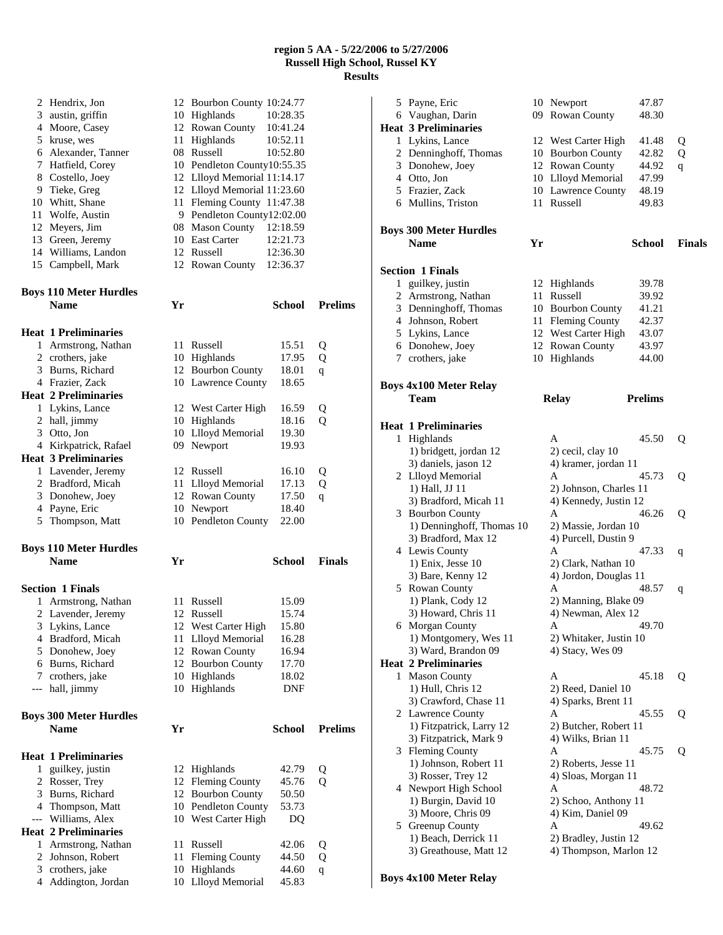| 2                   | Hendrix, Jon                                   |    | 12 Bourbon County 10:24.77             |                |                |
|---------------------|------------------------------------------------|----|----------------------------------------|----------------|----------------|
|                     | 3 austin, griffin                              |    | 10 Highlands                           | 10:28.35       |                |
|                     | 4 Moore, Casey                                 |    | 12 Rowan County                        | 10:41.24       |                |
|                     | 5 kruse, wes                                   |    | 11 Highlands                           | 10:52.11       |                |
|                     | 6 Alexander, Tanner                            |    | 08 Russell                             | 10:52.80       |                |
|                     | 7 Hatfield, Corey                              |    | 10 Pendleton County10:55.35            |                |                |
|                     | 8 Costello, Joey                               |    | 12 Llloyd Memorial 11:14.17            |                |                |
|                     | 9 Tieke, Greg                                  |    | 12 Llloyd Memorial 11:23.60            |                |                |
|                     | 10 Whitt, Shane                                |    | 11 Fleming County 11:47.38             |                |                |
|                     | 11 Wolfe, Austin                               |    | 9 Pendleton County12:02.00             |                |                |
|                     | 12 Meyers, Jim                                 |    | 08 Mason County 12:18.59               |                |                |
|                     | 13 Green, Jeremy                               |    | 10 East Carter                         | 12:21.73       |                |
|                     | 14 Williams, Landon                            |    | 12 Russell                             | 12:36.30       |                |
|                     | 15 Campbell, Mark                              |    | 12 Rowan County 12:36.37               |                |                |
|                     | <b>Boys 110 Meter Hurdles</b>                  |    |                                        |                |                |
|                     | <b>Name</b>                                    | Yr |                                        | School         | <b>Prelims</b> |
|                     |                                                |    |                                        |                |                |
|                     | <b>Heat 1 Preliminaries</b>                    |    |                                        |                |                |
|                     | 1 Armstrong, Nathan                            |    | 11 Russell                             | 15.51          | Q              |
|                     | 2 crothers, jake                               |    | 10 Highlands                           | 17.95          | Q              |
|                     | 3 Burns, Richard                               |    | 12 Bourbon County                      | 18.01          | q              |
|                     | 4 Frazier, Zack                                |    | 10 Lawrence County                     | 18.65          |                |
|                     | <b>Heat 2 Preliminaries</b>                    |    |                                        |                |                |
|                     | 1 Lykins, Lance                                |    | 12 West Carter High                    | 16.59          | Q              |
|                     | 2 hall, jimmy                                  |    | 10 Highlands                           | 18.16          | Q              |
|                     | 3 Otto, Jon                                    |    | 10 Llloyd Memorial                     | 19.30          |                |
|                     | 4 Kirkpatrick, Rafael                          |    | 09 Newport                             | 19.93          |                |
|                     | <b>Heat 3 Preliminaries</b>                    |    |                                        |                |                |
|                     | 1 Lavender, Jeremy                             |    | 12 Russell                             | 16.10          | Q              |
|                     | 2 Bradford, Micah                              |    | 11 Llloyd Memorial                     | 17.13          | Q              |
|                     | 3 Donohew, Joey                                |    | 12 Rowan County                        | 17.50          | $\mathsf{q}$   |
| 4                   | Payne, Eric                                    |    | 10 Newport                             | 18.40          |                |
| 5                   | Thompson, Matt                                 |    | 10 Pendleton County                    | 22.00          |                |
|                     | <b>Boys 110 Meter Hurdles</b>                  |    |                                        |                |                |
|                     | <b>Name</b>                                    | Yr |                                        | <b>School</b>  | <b>Finals</b>  |
|                     |                                                |    |                                        |                |                |
|                     | <b>Section 1 Finals</b><br>1 Armstrong, Nathan |    | 11 Russell                             |                |                |
|                     | 2 Lavender, Jeremy                             |    | 12 Russell                             | 15.09<br>15.74 |                |
|                     |                                                |    | 12 West Carter High                    |                |                |
| 3.                  | Lykins, Lance<br>4 Bradford, Micah             |    | 11 Llloyd Memorial                     | 15.80<br>16.28 |                |
| 5                   | Donohew, Joey                                  |    | 12 Rowan County                        | 16.94          |                |
|                     | 6 Burns, Richard                               |    | 12 Bourbon County                      | 17.70          |                |
| 7                   | crothers, jake                                 |    | 10 Highlands                           | 18.02          |                |
| ---                 | hall, jimmy                                    |    | 10 Highlands                           | <b>DNF</b>     |                |
|                     |                                                |    |                                        |                |                |
|                     | <b>Boys 300 Meter Hurdles</b>                  |    |                                        |                |                |
|                     | <b>Name</b>                                    | Yr |                                        | <b>School</b>  | <b>Prelims</b> |
|                     | <b>Heat 1 Preliminaries</b>                    |    |                                        |                |                |
| 1                   | guilkey, justin                                |    | 12 Highlands                           | 42.79          | Q              |
| 2                   | Rosser, Trey                                   |    | 12 Fleming County                      | 45.76          | о              |
| 3                   |                                                |    | 12 Bourbon County                      | 50.50          |                |
|                     | Burns, Richard                                 |    |                                        |                |                |
| 4                   |                                                |    | 10 Pendleton County                    | 53.73          |                |
| $\qquad \qquad - -$ | Thompson, Matt<br>Williams, Alex               |    | 10 West Carter High                    | DQ             |                |
|                     | <b>Heat 2 Preliminaries</b>                    |    |                                        |                |                |
| 1                   | Armstrong, Nathan                              |    | 11 Russell                             | 42.06          | Q              |
| 2                   | Johnson, Robert                                | 11 | <b>Fleming County</b>                  | 44.50          | Q              |
| 3                   | crothers, jake<br>Addington, Jordan            |    | 10 Highlands<br><b>Llloyd Memorial</b> | 44.60<br>45.83 | q              |

| 5 | Payne, Eric<br>6 Vaughan, Darin<br><b>Heat 3 Preliminaries</b> |    | 10 Newport<br>09 Rowan County        | 47.87<br>48.30 |               |
|---|----------------------------------------------------------------|----|--------------------------------------|----------------|---------------|
|   | 1 Lykins, Lance                                                |    |                                      | 41.48          |               |
|   | 2 Denninghoff, Thomas                                          |    | 12 West Carter High                  | 42.82          | Q             |
|   | 3 Donohew, Joey                                                |    | 10 Bourbon County<br>12 Rowan County | 44.92          | Q             |
|   | 4 Otto, Jon                                                    |    | 10 Llloyd Memorial                   | 47.99          | q             |
|   |                                                                |    |                                      | 48.19          |               |
|   | 5 Frazier, Zack                                                |    | 10 Lawrence County<br>11 Russell     |                |               |
|   | 6 Mullins, Triston                                             |    |                                      | 49.83          |               |
|   | <b>Boys 300 Meter Hurdles</b><br><b>Name</b>                   | Yr |                                      | School         | <b>Finals</b> |
|   |                                                                |    |                                      |                |               |
|   | <b>Section 1 Finals</b>                                        |    |                                      |                |               |
| 1 | guilkey, justin                                                |    | 12 Highlands                         | 39.78          |               |
|   | 2 Armstrong, Nathan                                            |    | 11 Russell                           | 39.92          |               |
|   | 3 Denninghoff, Thomas                                          |    | 10 Bourbon County                    | 41.21          |               |
|   | 4 Johnson, Robert                                              |    | 11 Fleming County                    | 42.37          |               |
|   | 5 Lykins, Lance                                                |    | 12 West Carter High                  | 43.07          |               |
|   | 6 Donohew, Joey                                                |    | 12 Rowan County                      | 43.97          |               |
|   | 7 crothers, jake                                               |    | 10 Highlands                         | 44.00          |               |
|   | Boys 4x100 Meter Relay                                         |    |                                      |                |               |
|   | Team                                                           |    | <b>Relay</b>                         | <b>Prelims</b> |               |
|   | <b>Heat 1 Preliminaries</b>                                    |    |                                      |                |               |
|   | 1 Highlands                                                    |    | A                                    | 45.50          | Q             |
|   | 1) bridgett, jordan 12                                         |    | 2) cecil, clay 10                    |                |               |
|   | 3) daniels, jason 12                                           |    | 4) kramer, jordan 11                 |                |               |
|   | 2 Llloyd Memorial                                              |    | A                                    | 45.73          | Q             |
|   | 1) Hall, JJ 11                                                 |    | 2) Johnson, Charles 11               |                |               |
|   | 3) Bradford, Micah 11                                          |    | 4) Kennedy, Justin 12                |                |               |
|   | 3 Bourbon County                                               |    | А                                    | 46.26          | Q             |
|   | 1) Denninghoff, Thomas 10                                      |    | 2) Massie, Jordan 10                 |                |               |
|   | 3) Bradford, Max 12                                            |    | 4) Purcell, Dustin 9                 |                |               |
|   | 4 Lewis County                                                 |    | A                                    | 47.33          | q             |
|   | 1) Enix, Jesse 10                                              |    | 2) Clark, Nathan 10                  |                |               |
|   | 3) Bare, Kenny 12                                              |    | 4) Jordon, Douglas 11                |                |               |
|   | 5 Rowan County                                                 |    | А                                    | 48.57          | q             |
|   | 1) Plank, Cody 12                                              |    | 2) Manning, Blake 09                 |                |               |
|   | 3) Howard, Chris 11                                            |    | 4) Newman, Alex 12                   |                |               |
|   | 6 Morgan County                                                |    | A                                    | 49.70          |               |
|   | 1) Montgomery, Wes 11                                          |    | 2) Whitaker, Justin 10               |                |               |
|   | 3) Ward, Brandon 09                                            |    | 4) Stacy, Wes 09                     |                |               |
|   | <b>Heat 2 Preliminaries</b>                                    |    |                                      |                |               |
| 1 | <b>Mason County</b>                                            |    | A                                    | 45.18          | Q             |
|   | 1) Hull, Chris 12                                              |    | 2) Reed, Daniel 10                   |                |               |
|   | 3) Crawford, Chase 11                                          |    | 4) Sparks, Brent 11                  |                |               |
|   | 2 Lawrence County                                              |    | А                                    | 45.55          | Q             |
|   | 1) Fitzpatrick, Larry 12                                       |    | 2) Butcher, Robert 11                |                |               |
|   | 3) Fitzpatrick, Mark 9                                         |    | 4) Wilks, Brian 11                   |                |               |
|   | 3 Fleming County                                               |    | Α                                    | 45.75          | Q             |
|   | 1) Johnson, Robert 11                                          |    | 2) Roberts, Jesse 11                 |                |               |
|   |                                                                |    | 4) Sloas, Morgan 11                  |                |               |
|   | 3) Rosser, Trey 12                                             |    | А                                    |                |               |
|   | 4 Newport High School                                          |    |                                      | 48.72          |               |
|   | 1) Burgin, David 10                                            |    | 2) Schoo, Anthony 11                 |                |               |
|   | 3) Moore, Chris 09                                             |    | 4) Kim, Daniel 09                    |                |               |
|   | 5 Greenup County                                               |    | A                                    | 49.62          |               |
|   | 1) Beach, Derrick 11                                           |    | 2) Bradley, Justin 12                |                |               |
|   | 3) Greathouse, Matt 12                                         |    | 4) Thompson, Marlon 12               |                |               |
|   |                                                                |    |                                      |                |               |

# **Boys 4x100 Meter Relay**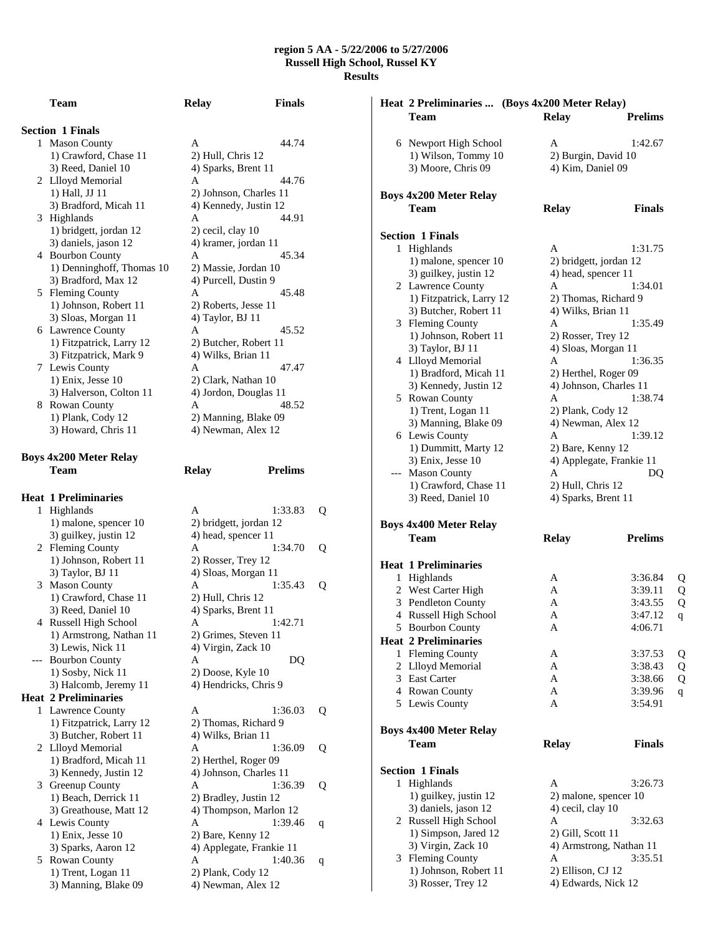| <b>Section 1 Finals</b> |
|-------------------------|
|                         |

|                | 1 Mason County            | A                      | 44.74 |
|----------------|---------------------------|------------------------|-------|
|                | 1) Crawford, Chase 11     | 2) Hull, Chris 12      |       |
|                | 3) Reed, Daniel 10        | 4) Sparks, Brent 11    |       |
| $\mathbf{2}^-$ | Llloyd Memorial           | A                      | 44.76 |
|                | 1) Hall, JJ 11            | 2) Johnson, Charles 11 |       |
|                | 3) Bradford, Micah 11     | 4) Kennedy, Justin 12  |       |
| 3              | Highlands                 | A                      | 44.91 |
|                | 1) bridgett, jordan 12    | 2) cecil, clay 10      |       |
|                | 3) daniels, jason 12      | 4) kramer, jordan 11   |       |
| 4              | <b>Bourbon County</b>     | A                      | 45.34 |
|                | 1) Denninghoff, Thomas 10 | 2) Massie, Jordan 10   |       |
|                | 3) Bradford, Max 12       | 4) Purcell, Dustin 9   |       |
| 5              | <b>Fleming County</b>     | A                      | 45.48 |
|                | 1) Johnson, Robert 11     | 2) Roberts, Jesse 11   |       |
|                | 3) Sloas, Morgan 11       | 4) Taylor, BJ 11       |       |
|                | 6 Lawrence County         | A                      | 45.52 |
|                | 1) Fitzpatrick, Larry 12  | 2) Butcher, Robert 11  |       |
|                | 3) Fitzpatrick, Mark 9    | 4) Wilks, Brian 11     |       |
| 7              | Lewis County              | A                      | 47.47 |
|                | 1) Enix, Jesse 10         | 2) Clark, Nathan 10    |       |
|                | 3) Halverson, Colton 11   | 4) Jordon, Douglas 11  |       |
| 8              | <b>Rowan County</b>       | A                      | 48.52 |
|                | 1) Plank, Cody 12         | 2) Manning, Blake 09   |       |
|                | 3) Howard, Chris 11       | 4) Newman, Alex 12     |       |
|                |                           |                        |       |

**Team Relay Finals** 

# **Boys 4x200 Meter Relay Team Relay Prelims**

|     | <b>Heat 1 Preliminaries</b> |                          |   |
|-----|-----------------------------|--------------------------|---|
| 1   | Highlands                   | 1:33.83<br>A             | Q |
|     | 1) malone, spencer 10       | 2) bridgett, jordan 12   |   |
|     | 3) guilkey, justin 12       | 4) head, spencer 11      |   |
|     | 2 Fleming County            | 1:34.70<br>A             | Q |
|     | 1) Johnson, Robert 11       | 2) Rosser, Trey 12       |   |
|     | 3) Taylor, BJ 11            | 4) Sloas, Morgan 11      |   |
| 3   | <b>Mason County</b>         | 1:35.43<br>A             | Q |
|     | 1) Crawford, Chase 11       | 2) Hull, Chris 12        |   |
|     | 3) Reed, Daniel 10          | 4) Sparks, Brent 11      |   |
|     | 4 Russell High School       | 1:42.71<br>A             |   |
|     | 1) Armstrong, Nathan 11     | 2) Grimes, Steven 11     |   |
|     | 3) Lewis, Nick 11           | 4) Virgin, Zack 10       |   |
| --- | <b>Bourbon County</b>       | A<br>DQ                  |   |
|     | 1) Sosby, Nick 11           | 2) Doose, Kyle 10        |   |
|     | 3) Halcomb, Jeremy 11       | 4) Hendricks, Chris 9    |   |
|     | <b>Heat 2 Preliminaries</b> |                          |   |
| 1   | Lawrence County             | 1:36.03<br>A             | Q |
|     | 1) Fitzpatrick, Larry 12    | 2) Thomas, Richard 9     |   |
|     | 3) Butcher, Robert 11       | 4) Wilks, Brian 11       |   |
|     | 2 Llloyd Memorial           | 1:36.09<br>A             | Q |
|     | 1) Bradford, Micah 11       | 2) Herthel, Roger 09     |   |
|     | 3) Kennedy, Justin 12       | 4) Johnson, Charles 11   |   |
| 3   | Greenup County              | 1:36.39<br>A             | Q |
|     | 1) Beach, Derrick 11        | 2) Bradley, Justin 12    |   |
|     | 3) Greathouse, Matt 12      | 4) Thompson, Marlon 12   |   |
|     | 4 Lewis County              | 1:39.46<br>A             | q |
|     | 1) Enix, Jesse 10           | 2) Bare, Kenny 12        |   |
|     | 3) Sparks, Aaron 12         | 4) Applegate, Frankie 11 |   |
| 5.  | Rowan County                | 1:40.36<br>A             | q |
|     | 1) Trent, Logan 11          | 2) Plank, Cody 12        |   |
|     |                             |                          |   |

|                               | Heat 2 Preliminaries  (Boys 4x200 Meter Relay) |                        |
|-------------------------------|------------------------------------------------|------------------------|
| Team                          | <b>Relay</b>                                   | <b>Prelims</b>         |
|                               |                                                |                        |
| 6 Newport High School         | A                                              | 1:42.67                |
| 1) Wilson, Tommy 10           | 2) Burgin, David 10                            |                        |
| 3) Moore, Chris 09            | 4) Kim, Daniel 09                              |                        |
|                               |                                                |                        |
| <b>Boys 4x200 Meter Relay</b> |                                                |                        |
| Team                          | <b>Relay</b>                                   | <b>Finals</b>          |
|                               |                                                |                        |
| <b>Section 1 Finals</b>       |                                                |                        |
| 1 Highlands                   | A                                              | 1:31.75                |
| 1) malone, spencer 10         | 2) bridgett, jordan 12                         |                        |
| 3) guilkey, justin 12         | 4) head, spencer 11                            |                        |
| 2 Lawrence County             | A                                              | 1:34.01                |
| 1) Fitzpatrick, Larry 12      | 2) Thomas, Richard 9                           |                        |
| 3) Butcher, Robert 11         | 4) Wilks, Brian 11                             |                        |
| 3 Fleming County              | A                                              | 1:35.49                |
| 1) Johnson, Robert 11         | 2) Rosser, Trey 12                             |                        |
| 3) Taylor, BJ 11              | 4) Sloas, Morgan 11                            |                        |
| 4 Llloyd Memorial             | A                                              | 1:36.35                |
| 1) Bradford, Micah 11         | 2) Herthel, Roger 09                           |                        |
| 3) Kennedy, Justin 12         | 4) Johnson, Charles 11                         |                        |
| 5 Rowan County                | A                                              | 1:38.74                |
| 1) Trent, Logan 11            | 2) Plank, Cody 12                              |                        |
| 3) Manning, Blake 09          | 4) Newman, Alex 12                             |                        |
| 6 Lewis County                | A                                              | 1:39.12                |
| 1) Dummitt, Marty 12          | 2) Bare, Kenny 12                              |                        |
| 3) Enix, Jesse 10             | 4) Applegate, Frankie 11                       |                        |
| --- Mason County              | A                                              | DQ                     |
| 1) Crawford, Chase 11         | 2) Hull, Chris 12                              |                        |
| 3) Reed, Daniel 10            | 4) Sparks, Brent 11                            |                        |
|                               |                                                |                        |
| <b>Boys 4x400 Meter Relay</b> |                                                |                        |
| <b>Team</b>                   | <b>Relay</b>                                   | <b>Prelims</b>         |
|                               |                                                |                        |
| <b>Heat 1 Preliminaries</b>   |                                                |                        |
| 1 Highlands                   | A                                              | 3:36.84<br>Q           |
| 2 West Carter High            | A                                              | Q<br>3:39.11           |
| 3 Pendleton County            | A                                              | Q<br>3:43.55           |
| 4 Russell High School         | А                                              | 3:47.12<br>$\mathbf q$ |
| 5 Bourbon County              | A                                              | 4:06.71                |
| <b>Heat 2 Preliminaries</b>   |                                                |                        |
| 1 Fleming County              | Α                                              | 3:37.53<br>Q           |
| 2 Llloyd Memorial             | A                                              | Q<br>3:38.43           |
| 3 East Carter                 | A                                              | Q<br>3:38.66           |
| 4 Rowan County                | A                                              | 3:39.96<br>q           |
| 5 Lewis County                | A                                              | 3:54.91                |
| <b>Boys 4x400 Meter Relay</b> |                                                |                        |
| Team                          | <b>Relay</b>                                   | <b>Finals</b>          |
|                               |                                                |                        |
| <b>Section 1 Finals</b>       |                                                |                        |
| 1 Highlands                   | A                                              | 3:26.73                |
| 1) guilkey, justin 12         | 2) malone, spencer 10                          |                        |
| 3) daniels, jason 12          | 4) cecil, clay 10                              |                        |
| 2 Russell High School         | А                                              | 3:32.63                |
| 1) Simpson, Jared 12          | 2) Gill, Scott 11                              |                        |
| 3) Virgin, Zack 10            | 4) Armstrong, Nathan 11                        |                        |
| 3 Fleming County              | А                                              | 3:35.51                |
| 1) Johnson, Robert 11         | 2) Ellison, CJ 12                              |                        |
| 3) Rosser, Trey 12            | 4) Edwards, Nick 12                            |                        |
|                               |                                                |                        |